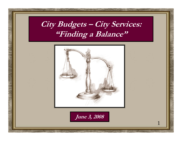## **City Budgets – City Services: "Finding a Balance"**



**June 3, 2008**

A MALLING

1

NAME OF STREET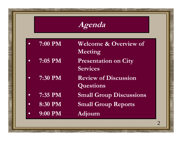**Agenda**

| $-7:00$ PM     | <b>Welcome &amp; Overview of</b><br>Meeting    |
|----------------|------------------------------------------------|
| 7:05 PM        | <b>Presentation on City</b><br><b>Services</b> |
| 7:30 PM        | <b>Review of Discussion</b><br>Questions       |
| 7:35 PM        | <b>Small Group Discussions</b>                 |
| <b>8:30 PM</b> | <b>Small Group Reports</b>                     |

•**9:00 PM Adjourn**

North Mary Mary Com

Antibody of the second complete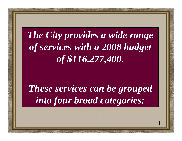# *The City provides a wide range of services with a 2008 budget of \$116,277,400.*

*These services can be grouped into four broad categories:*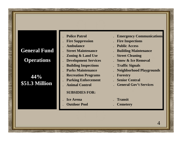## **General Fund**

#### **Operations**

#### **44% \$51.3 Million Example Animal Control Control General Gov't Services**

- .**Police Patrol**
- 
- **Ambulance**

.

.

.

All Marine

- **Street Maintenance**
- **Zoning & Land Use** . **Street Cleaning**
- .
- **Building Inspections** . **Traffic Signals**
- **Parks Maintenance**
- .**Recreation Programs** . **Forestry**
- **Parking Enforcement** . **Senior Central**
- **Animal Control**

#### **SUBSIDIES FOR:**

- **Ice Arena**
- **Outdoor Pool** . **Cemetery**
- . **Emergency Communications**
- **Fire Suppression** . **Fire Inspections**
	- . **Public Access**
	- . **Building Maintenance**
	-
- **Development Services** . **Snow & Ice Removal**
	-
	- . **Neighborhood Playgrounds**
	-
	-
	-
	- . **Transit**

NAME AND ADDRESS OF THE OWNER.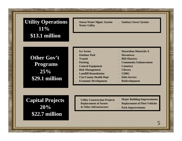#### **Utility Operations 11%\$13.1 million**

 **Storm Water Mgmt. System** . **Sanitary Sewer System Water Utility**

### **Other Gov't Programs 25%\$29.1 million**

- 
- **Outdoor Pool** . **Downtown**
- 
- 
- **Central Equipment** . **Cemetery**
- **Risk Management** . **Library**
- **Landfill Remediation** . **CDBG**
- **City/County Health Dept** . **Debt Service**
- **Economic Development** . **Redevelopment**
- **Ice Arena** . **Hazardous Materials A** 
	-
- **Transit** . **BID Districts**
- **Parking** . **Community Enhancement**
	-
	-
	-
	-
	-

**Capital Projects 20% \$22.7 million**

Allandia y

- **Utility Construction Projects**
- **Replacement of Streets**
	- **& Other Infrastructure**
- . **Major Building Improvements**
- . **Replacement of Fleet Vehicles**
- **Park Improvements** .

NATHER WARD

5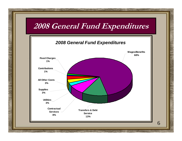

NAME OF STREET

**AND MARK**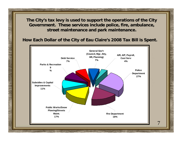**The City's tax levy is used to support the operations of the City Government. These services include police, fire, ambulance, street maintenance and park maintenance.**

**How Each Dollar of the City of Eau Claire's 2008 Tax Bill is Spent.** 



yes Warden

SWITH CAY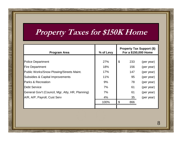## **Property Taxes for \$150K Home**

| <b>Program Area</b>                              | % of Levy | <b>Property Tax Support (\$)</b><br>For a \$150,000 Home |     |            |
|--------------------------------------------------|-----------|----------------------------------------------------------|-----|------------|
|                                                  |           |                                                          |     |            |
| <b>Police Department</b>                         | 27%       | $\boldsymbol{\mathcal{S}}$                               | 233 | (per year) |
| <b>Fire Department</b>                           | 18%       |                                                          | 156 | (per year) |
| Public Works/Snow Plowing/Streets Maint.         | 17%       |                                                          | 147 | (per year) |
| <b>Subsidies &amp; Capital Improvements</b>      | 11%       |                                                          | 95  | (per year) |
| <b>Parks &amp; Recreation</b>                    | 9%        |                                                          | 78  | (per year) |
| <b>Debt Service</b>                              | 7%        |                                                          | 61  | (per year) |
| General Gov't (Council, Mgr, Atty, HR, Planning) | 7%        |                                                          | 61  | (per year) |
| A/R, A/P, Payroll, Cust Serv                     | 4%        |                                                          | 35  | (per year) |
|                                                  | 100%      | \$                                                       | 866 |            |
|                                                  |           |                                                          |     |            |

Where the March 18

North Mary 11/2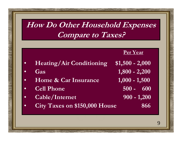## **How Do Other Household Expenses Compare to Taxes?**

 $\bullet$ **Heating/Air Conditioning \$1,500 - 2,000**

- •**Gas**
- •**Home & Car Insurance**
- •**Cell Phone**
- •**Cable/Internet 900 - 1,200**
- **1,000 - 1,500 500 - 600**

NAME AND THE OWNER.

**1,800 - 2,200**

**Per Year**

•**City Taxes on \$150,000 House 866**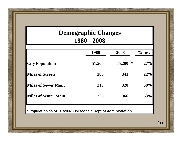### **Demographic Changes 1980 - 2008**

|                            | 1980       | 2008        | $\%$ Inc. |
|----------------------------|------------|-------------|-----------|
| <b>City Population</b>     | 51,500     | ∗<br>65,200 | 27%       |
| <b>Miles of Streets</b>    | <b>280</b> | 341         | 22%       |
| <b>Miles of Sewer Main</b> | 213        | 320         | 50%       |
| <b>Miles of Water Main</b> | 225        | 366         | 63%       |
|                            |            |             |           |

**\* Population as of 1/1/2007 - Wisconsin Dept of Administration**

North Har 1160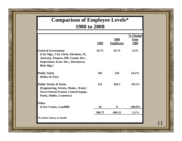#### **Comparison of Employee Levels\* 1980 to 2008**

|                                                                                                                                                                             |             |                  | % Change    |
|-----------------------------------------------------------------------------------------------------------------------------------------------------------------------------|-------------|------------------|-------------|
|                                                                                                                                                                             |             | 2008             | from        |
|                                                                                                                                                                             | <u>1980</u> | <b>Employees</b> | <u>1980</u> |
| <b>General Government</b><br>(City Mgr., City Clerk, Elections, IS,<br>Attorney, Finance, HR, Comm. Dev.,<br><b>Inspections, Econ. Dev., Downtown,</b><br><b>Risk Mgt.)</b> | 63.75       | 65.75            | $3.2\%$     |
| <b>Public Safety</b><br>(Police & Fire)                                                                                                                                     | 182         | 226              | 24.2%       |
| <b>Public Works &amp; Parks</b><br>(Engineering, Streets, Maint., Water/<br>Sewer/Storm/Transit, Central Equip.,<br>Parks, Hobbs, Cemetery)                                 | 251         | 204.5            | $-18.5%$    |
| <b>Other</b>                                                                                                                                                                |             |                  |             |
| (Civic Center, Landfill)                                                                                                                                                    | 10          | $\boldsymbol{0}$ | $-100.0\%$  |
|                                                                                                                                                                             | 506.75      | 496.25           | $-2.1\%$    |
| <i>*Excludes Library &amp; Health</i>                                                                                                                                       |             |                  |             |

We the last of

Attendance of the South of the Contract of the Contract of the Contract of the Contract of the Contract of the Contract of the Contract of the Contract of the Contract of the Contract of the Contract of the Contract of the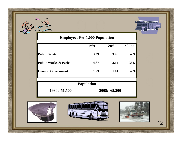![](_page_11_Picture_0.jpeg)

![](_page_11_Picture_1.jpeg)

|                                 | <b>Employees Per 1,000 Population</b> |              |          |
|---------------------------------|---------------------------------------|--------------|----------|
|                                 | <b>1980</b>                           | 2008         | $\%$ Inc |
| <b>Public Safety</b>            | 3.53                                  | 3.46         | $-2\%$   |
| <b>Public Works &amp; Parks</b> | 4.87                                  | 3.14         | $-36%$   |
| <b>General Government</b>       | 1.23                                  | 1.01         | $-2\%$   |
|                                 | <b>Population</b>                     |              |          |
| 1980: 51,500                    |                                       | 2008: 65,200 |          |

![](_page_11_Picture_3.jpeg)

Mary 1999 Williams

NATIONAL AVE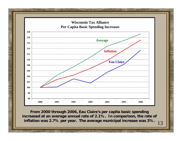![](_page_12_Figure_0.jpeg)

**From 2000 through 2006, Eau Claire's per capita basic spending increased at an average annual rate of 2.1%. In comparison, the rate of inflation was 2.7% per year. The average municipal increase was 3%.**

**MANIFERRY** 

NALL AND CONTRACTOR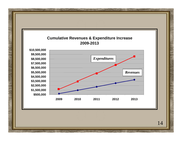![](_page_13_Figure_0.jpeg)

Website Market Charles

North Mary 11/2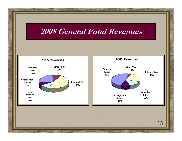### **2008 General Fund Revenues**

![](_page_14_Figure_1.jpeg)

A MARINE

North Commences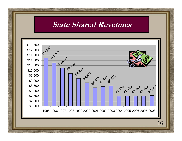### **State Shared Revenues**

![](_page_15_Figure_1.jpeg)

A MAY MARINE

and the first text of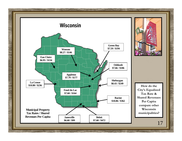![](_page_16_Figure_0.jpeg)

 $\mathcal{L}$ 

![](_page_16_Picture_1.jpeg)

**How do the City's Equalized Tax Rate & Shared Revenues Per Capita compare other Wisconsin municipalities?**

North Hampton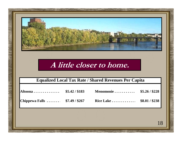![](_page_17_Picture_0.jpeg)

### **A little closer to home.**

#### **Equalized Local Tax Rate / Shared Revenues Per Capita**

| Altoona \$5.42/\$183           |  |  |
|--------------------------------|--|--|
| Chippewa Falls  \$7.49 / \$267 |  |  |

A MARINE COM

Not be the state of the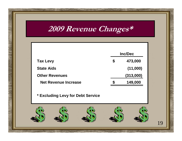## **2009 Revenue Changes\***

|                             |   | <b>Inc/Dec</b> |  |
|-----------------------------|---|----------------|--|
| <b>Tax Levy</b>             | S | 473,000        |  |
| <b>State Aids</b>           |   | (11,000)       |  |
| <b>Other Revenues</b>       |   | (313,000)      |  |
| <b>Net Revenue Increase</b> |   | 149,000        |  |

**\* Excluding Levy for Debt Service**

![](_page_18_Picture_3.jpeg)

Not be the little con-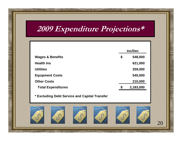## **2009 Expenditure Projections\***

|                             | <b>Inc/Dec</b> |  |
|-----------------------------|----------------|--|
| <b>Wages &amp; Benefits</b> | \$<br>548,000  |  |
| <b>Health Ins</b>           | 621,000        |  |
| <b>Utilities</b>            | 259,000        |  |
| <b>Equipment Costs</b>      | 545,000        |  |
| <b>Other Costs</b>          | 210,000        |  |
| <b>Total Expenditures</b>   | 2,183,000      |  |

**\* Excluding Debt Service and Capital Transfer**

![](_page_19_Picture_3.jpeg)

![](_page_19_Picture_4.jpeg)

**TAN WINDOWS** 

![](_page_19_Picture_5.jpeg)

![](_page_19_Picture_6.jpeg)

![](_page_19_Picture_7.jpeg)

NATIONAL PROPERTY

![](_page_19_Picture_8.jpeg)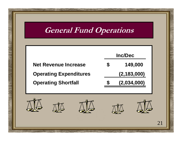### **General Fund Operations**

![](_page_20_Figure_1.jpeg)

![](_page_20_Picture_2.jpeg)

NAME OF BRIDE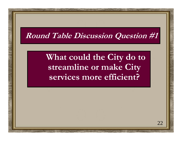## **Round Table Discussion Question #1**

## **What could the City do to streamline or make City services more efficient?**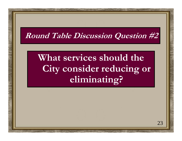## **Round Table Discussion Question #2**

# **What services should the**  City consider reducing or **eliminating?**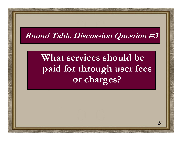## **Round Table Discussion Question #3**

# **What services should be paid for through user fees or charges?**